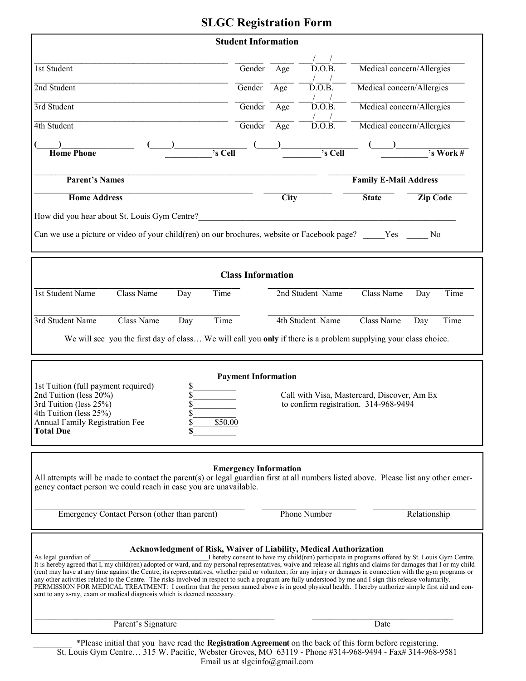# **SLGC Registration Form**

| <b>Student Information</b>                                                                                                                                                                                                                                                                                                                                                                                                                                                                                                                                                                                                                                                                                                                                                                                                                                                                                                                  |                              |      |                     |                           |                                     |
|---------------------------------------------------------------------------------------------------------------------------------------------------------------------------------------------------------------------------------------------------------------------------------------------------------------------------------------------------------------------------------------------------------------------------------------------------------------------------------------------------------------------------------------------------------------------------------------------------------------------------------------------------------------------------------------------------------------------------------------------------------------------------------------------------------------------------------------------------------------------------------------------------------------------------------------------|------------------------------|------|---------------------|---------------------------|-------------------------------------|
| 1st Student                                                                                                                                                                                                                                                                                                                                                                                                                                                                                                                                                                                                                                                                                                                                                                                                                                                                                                                                 | Gender                       | Age  | D.O.B.              | Medical concern/Allergies |                                     |
| 2nd Student                                                                                                                                                                                                                                                                                                                                                                                                                                                                                                                                                                                                                                                                                                                                                                                                                                                                                                                                 | Gender                       | Age  | $\overline{D.0.B.}$ | Medical concern/Allergies |                                     |
| 3rd Student                                                                                                                                                                                                                                                                                                                                                                                                                                                                                                                                                                                                                                                                                                                                                                                                                                                                                                                                 | Gender                       | Age  | D.O.B.              | Medical concern/Allergies |                                     |
| 4th Student                                                                                                                                                                                                                                                                                                                                                                                                                                                                                                                                                                                                                                                                                                                                                                                                                                                                                                                                 | Gender                       | Age  | D.O.B.              | Medical concern/Allergies |                                     |
| 's Cell<br><b>Home Phone</b>                                                                                                                                                                                                                                                                                                                                                                                                                                                                                                                                                                                                                                                                                                                                                                                                                                                                                                                |                              |      | 's Cell             |                           | $\overline{\cdot s \text{ Work #}}$ |
| <b>Parent's Names</b>                                                                                                                                                                                                                                                                                                                                                                                                                                                                                                                                                                                                                                                                                                                                                                                                                                                                                                                       | <b>Family E-Mail Address</b> |      |                     |                           |                                     |
| <b>Home Address</b>                                                                                                                                                                                                                                                                                                                                                                                                                                                                                                                                                                                                                                                                                                                                                                                                                                                                                                                         |                              | City |                     | <b>State</b>              | <b>Zip Code</b>                     |
| How did you hear about St. Louis Gym Centre?                                                                                                                                                                                                                                                                                                                                                                                                                                                                                                                                                                                                                                                                                                                                                                                                                                                                                                |                              |      |                     |                           |                                     |
| Can we use a picture or video of your child(ren) on our brochures, website or Facebook page? Yes<br>No                                                                                                                                                                                                                                                                                                                                                                                                                                                                                                                                                                                                                                                                                                                                                                                                                                      |                              |      |                     |                           |                                     |
|                                                                                                                                                                                                                                                                                                                                                                                                                                                                                                                                                                                                                                                                                                                                                                                                                                                                                                                                             |                              |      |                     |                           |                                     |
| <b>Class Information</b>                                                                                                                                                                                                                                                                                                                                                                                                                                                                                                                                                                                                                                                                                                                                                                                                                                                                                                                    |                              |      |                     |                           |                                     |
| <b>1st Student Name</b><br>Time<br>Class Name<br>Day                                                                                                                                                                                                                                                                                                                                                                                                                                                                                                                                                                                                                                                                                                                                                                                                                                                                                        |                              |      | 2nd Student Name    | Class Name                | Time<br>Day                         |
| Class Name<br>Time<br>3rd Student Name<br>Day                                                                                                                                                                                                                                                                                                                                                                                                                                                                                                                                                                                                                                                                                                                                                                                                                                                                                               |                              |      | 4th Student Name    | Class Name                | Time<br>Day                         |
| We will see you the first day of class We will call you only if there is a problem supplying your class choice.                                                                                                                                                                                                                                                                                                                                                                                                                                                                                                                                                                                                                                                                                                                                                                                                                             |                              |      |                     |                           |                                     |
|                                                                                                                                                                                                                                                                                                                                                                                                                                                                                                                                                                                                                                                                                                                                                                                                                                                                                                                                             |                              |      |                     |                           |                                     |
| <b>Payment Information</b><br>1st Tuition (full payment required)<br>\$<br>\$<br>2nd Tuition (less 20%)<br>Call with Visa, Mastercard, Discover, Am Ex<br>3rd Tuition (less 25%)<br>\$<br>to confirm registration. 314-968-9494<br>4th Tuition (less 25%)<br><b>Annual Family Registration Fee</b><br>\$<br>\$50.00<br><b>Total Due</b>                                                                                                                                                                                                                                                                                                                                                                                                                                                                                                                                                                                                     |                              |      |                     |                           |                                     |
| <b>Emergency Information</b><br>All attempts will be made to contact the parent(s) or legal guardian first at all numbers listed above. Please list any other emer-<br>gency contact person we could reach in case you are unavailable.                                                                                                                                                                                                                                                                                                                                                                                                                                                                                                                                                                                                                                                                                                     |                              |      |                     |                           |                                     |
| Emergency Contact Person (other than parent)                                                                                                                                                                                                                                                                                                                                                                                                                                                                                                                                                                                                                                                                                                                                                                                                                                                                                                |                              |      | <b>Phone Number</b> |                           | Relationship                        |
| <b>Acknowledgment of Risk, Waiver of Liability, Medical Authorization</b><br>I hereby consent to have my child(ren) participate in programs offered by St. Louis Gym Centre.<br>As legal guardian of<br>It is hereby agreed that I, my child(ren) adopted or ward, and my personal representatives, waive and release all rights and claims for damages that I or my child<br>(ren) may have at any time against the Centre, its representatives, whether paid or volunteer; for any injury or damages in connection with the gym programs or<br>any other activities related to the Centre. The risks involved in respect to such a program are fully understood by me and I sign this release voluntarily.<br>PERMISSION FOR MEDICAL TREATMENT: I confirm that the person named above is in good physical health. I hereby authorize simple first aid and con-<br>sent to any x-ray, exam or medical diagnosis which is deemed necessary. |                              |      |                     |                           |                                     |
| Parent's Signature                                                                                                                                                                                                                                                                                                                                                                                                                                                                                                                                                                                                                                                                                                                                                                                                                                                                                                                          |                              |      |                     | Date                      |                                     |
|                                                                                                                                                                                                                                                                                                                                                                                                                                                                                                                                                                                                                                                                                                                                                                                                                                                                                                                                             |                              |      |                     |                           |                                     |

\_\_\_\_\_\_\_\_\_ \*Please initial that you have read the **Registration Agreement** on the back of this form before registering. St. Louis Gym Centre… 315 W. Pacific, Webster Groves, MO 63119 - Phone #314-968-9494 - Fax# 314-968-9581 Email us at slgcinfo@gmail.com